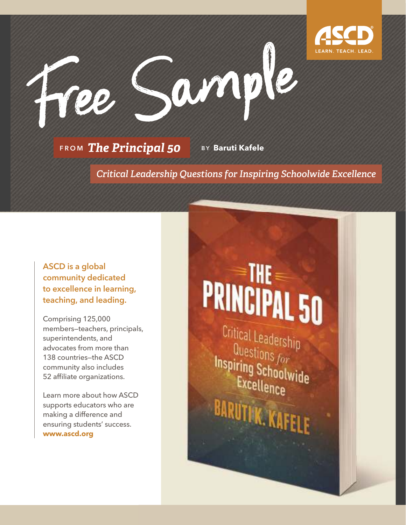

**FROM The Principal 50** 

B Y **Baruti Kafele**

-è Sample

*Critical Leadership Questions for Inspiring Schoolwide Excellence*

ASCD is a global community dedicated to excellence in learning, teaching, and leading.

Comprising 125,000 members–teachers, principals, superintendents, and advocates from more than 138 countries—the ASCD community also includes 52 affiliate organizations.

Learn more about how ASCD supports educators who are making a difference and ensuring students' success. **www.ascd.org**

# **PRINCIPAL 50**

Critical Leadership  $\frac{0}{1}$  Questions  $f_{\alpha r}$ **Inspiring Schoolwide** Excellence BARUTI K. KA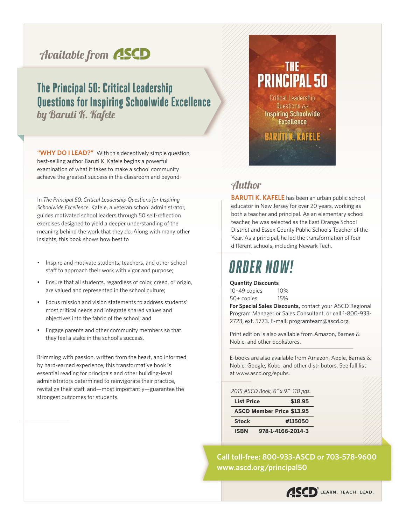### Available from **ASCD**

#### The Principal 50: Critical Leadership Questions for Inspiring Schoolwide Excellence by Baruti K. Kafele

**"WHY DO I LEAD?"** With this deceptively simple question, best-selling author Baruti K. Kafele begins a powerful examination of what it takes to make a school community achieve the greatest success in the classroom and beyond.

In *The Principal 50: Critical Leadership Questions for Inspiring Schoolwide Excellence*, Kafele, a veteran school administrator, guides motivated school leaders through 50 self-reflection exercises designed to yield a deeper understanding of the meaning behind the work that they do. Along with many other insights, this book shows how best to

- Inspire and motivate students, teachers, and other school staff to approach their work with vigor and purpose;
- Ensure that all students, regardless of color, creed, or origin, are valued and represented in the school culture;
- Focus mission and vision statements to address students' most critical needs and integrate shared values and objectives into the fabric of the school; and
- Engage parents and other community members so that they feel a stake in the school's success.

Brimming with passion, written from the heart, and informed by hard-earned experience, this transformative book is essential reading for principals and other building-level administrators determined to reinvigorate their practice, revitalize their staff, and—most importantly—guarantee the strongest outcomes for students.

### ≡THE≡ **PRINCIPAL 50**

Critical Leadership Questions for **Inspiring Schoolwide Excellence** 

**BARUTIK. KAFELE** 

#### Author

**BARUTI K. KAFELE** has been an urban public school educator in New Jersey for over 20 years, working as both a teacher and principal. As an elementary school teacher, he was selected as the East Orange School District and Essex County Public Schools Teacher of the Year. As a principal, he led the transformation of four different schools, including Newark Tech.

### ORDER NOW!

**Quantity Discounts**

10–49 copies 10% 50+ copies 15%

**For Special Sales Discounts,** contact your ASCD Regional Program Manager or Sales Consultant, or call 1-800-933- 2723, ext. 5773. E-mail: programteam@ascd.org.

Print edition is also available from Amazon, Barnes & Noble, and other bookstores.

E-books are also available from Amazon, Apple, Barnes & Noble, Google, Kobo, and other distributors. See full list at www.ascd.org/epubs.

#### *2015 ASCD Book, 6" x 9," 110 pgs.*

| <b>List Price</b>                | \$18.95           |  |
|----------------------------------|-------------------|--|
| <b>ASCD Member Price \$13.95</b> |                   |  |
| <b>Stock</b>                     | #115050           |  |
| <b>ISBN</b>                      | 978-1-4166-2014-3 |  |

**www.ascd.org/principal50 Call toll-free: 800-933-ASCD or 703-578-9600**

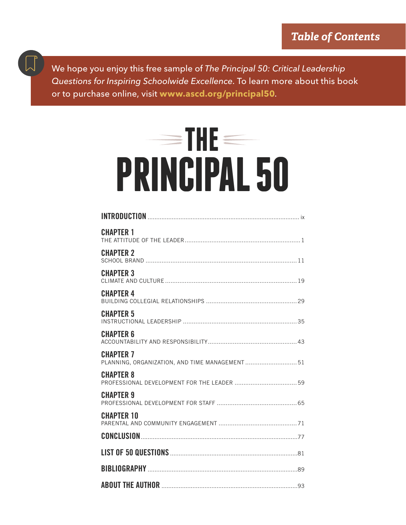We hope you enjoy this free sample of The Principal 50: Critical Leadership Questions for Inspiring Schoolwide Excellence. To learn more about this book or to purchase online, visit **www.ascd.org/principal50**.

# $=$  THE  $=$ **PRINCIPAL 50**

| <b>CHAPTER 1</b>                                                   |  |
|--------------------------------------------------------------------|--|
| <b>CHAPTER 2</b>                                                   |  |
| <b>CHAPTER 3</b>                                                   |  |
| <b>CHAPTER 4</b>                                                   |  |
| <b>CHAPTER 5</b>                                                   |  |
| <b>CHAPTER 6</b>                                                   |  |
| <b>CHAPTER 7</b><br>PLANNING, ORGANIZATION, AND TIME MANAGEMENT 51 |  |
| <b>CHAPTER 8</b>                                                   |  |
| <b>CHAPTER 9</b>                                                   |  |
| <b>CHAPTER 10</b>                                                  |  |
|                                                                    |  |
|                                                                    |  |
|                                                                    |  |
|                                                                    |  |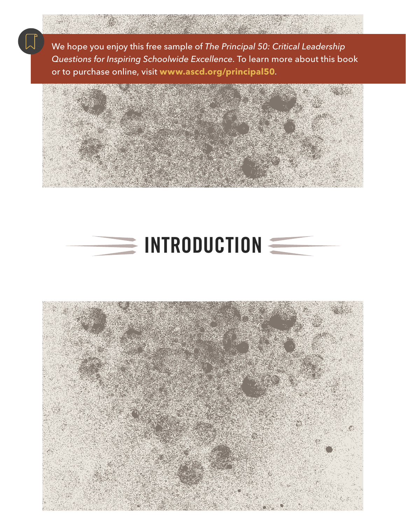We hope you enjoy this free sample of The Principal 50: Critical Leadership Questions for Inspiring Schoolwide Excellence. To learn more about this book or to purchase online, visit **www.ascd.org/principal50**.





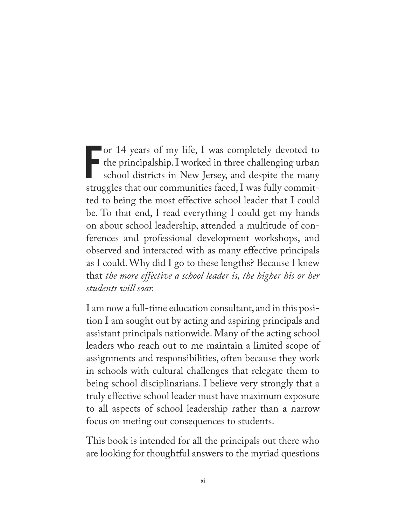F or 14 years of my life, I was completely devoted to the principalship. I worked in three challenging urban school districts in New Jersey, and despite the many struggles that our communities faced, I was fully committed to being the most effective school leader that I could be. To that end, I read everything I could get my hands on about school leadership, attended a multitude of conferences and professional development workshops, and observed and interacted with as many effective principals as I could. Why did I go to these lengths? Because I knew that *the more effective a school leader is, the higher his or her students will soar.*

I am now a full-time education consultant, and in this position I am sought out by acting and aspiring principals and assistant principals nationwide. Many of the acting school leaders who reach out to me maintain a limited scope of assignments and responsibilities, often because they work in schools with cultural challenges that relegate them to being school disciplinarians. I believe very strongly that a truly effective school leader must have maximum exposure to all aspects of school leadership rather than a narrow focus on meting out consequences to students.

This book is intended for all the principals out there who are looking for thoughtful answers to the myriad questions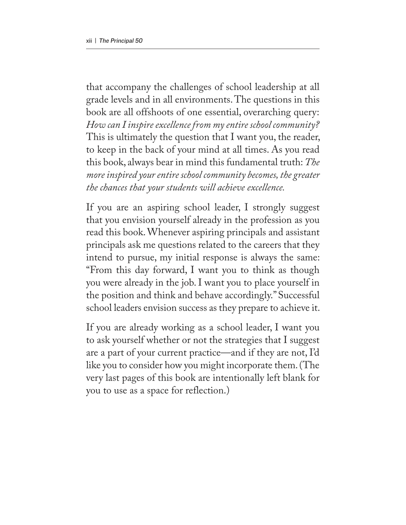that accompany the challenges of school leadership at all grade levels and in all environments. The questions in this book are all offshoots of one essential, overarching query: *How can I inspire excellence from my entire school community?* This is ultimately the question that I want you, the reader, to keep in the back of your mind at all times. As you read this book, always bear in mind this fundamental truth: *The more inspired your entire school community becomes, the greater the chances that your students will achieve excellence.*

If you are an aspiring school leader, I strongly suggest that you envision yourself already in the profession as you read this book. Whenever aspiring principals and assistant principals ask me questions related to the careers that they intend to pursue, my initial response is always the same: "From this day forward, I want you to think as though you were already in the job. I want you to place yourself in the position and think and behave accordingly." Successful school leaders envision success as they prepare to achieve it.

If you are already working as a school leader, I want you to ask yourself whether or not the strategies that I suggest are a part of your current practice—and if they are not, I'd like you to consider how you might incorporate them. (The very last pages of this book are intentionally left blank for you to use as a space for reflection.)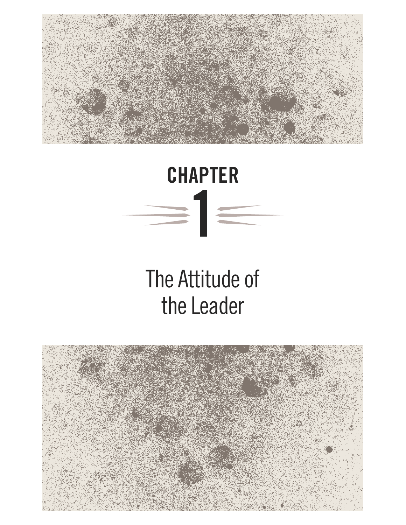



### The Attitude of the Leader

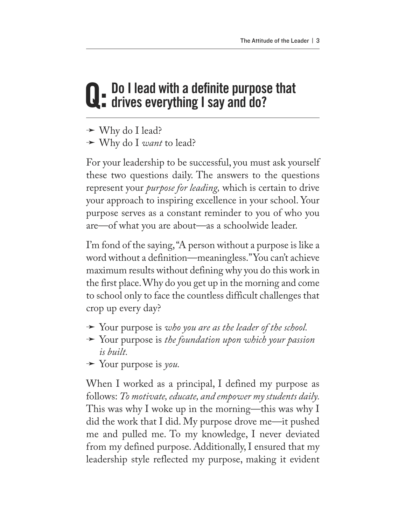# Q: Do I lead with a definite purpose that<br>Q: drives everything I say and do?

- → Why do I lead?
- ª Why do I *want* to lead?

For your leadership to be successful, you must ask yourself these two questions daily. The answers to the questions represent your *purpose for leading,* which is certain to drive your approach to inspiring excellence in your school. Your purpose serves as a constant reminder to you of who you are—of what you are about—as a schoolwide leader.

I'm fond of the saying, "A person without a purpose is like a word without a definition—meaningless." You can't achieve maximum results without defining why you do this work in the first place. Why do you get up in the morning and come to school only to face the countless difficult challenges that crop up every day?

- $\rightarrow$  Your purpose is *who you are as the leader of the school*.
- ª Your purpose is *the foundation upon which your passion is built.*
- $\rightarrow$  Your purpose is *you*.

When I worked as a principal, I defined my purpose as follows: *To motivate, educate, and empower my students daily.*  This was why I woke up in the morning—this was why I did the work that I did. My purpose drove me—it pushed me and pulled me. To my knowledge, I never deviated from my defined purpose. Additionally, I ensured that my leadership style reflected my purpose, making it evident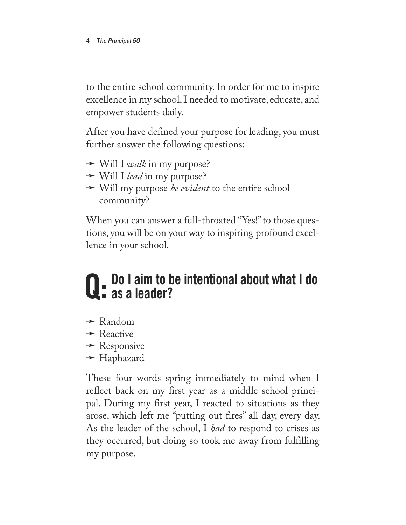to the entire school community. In order for me to inspire excellence in my school, I needed to motivate, educate, and empower students daily.

After you have defined your purpose for leading, you must further answer the following questions:

- $\rightarrow$  Will I *walk* in my purpose?
- **→ Will I** *lead* in my purpose?
- **→ Will my purpose** *be evident* to the entire school community?

When you can answer a full-throated "Yes!" to those questions, you will be on your way to inspiring profound excellence in your school.

### Do I aim to be intentional about what I do as a leader?

- $\rightarrow$  Random
- $\rightarrow$  Reactive
- $\rightarrow$  Responsive
- $\rightarrow$  Haphazard

These four words spring immediately to mind when I reflect back on my first year as a middle school principal. During my first year, I reacted to situations as they arose, which left me "putting out fires" all day, every day. As the leader of the school, I *had* to respond to crises as they occurred, but doing so took me away from fulfilling my purpose.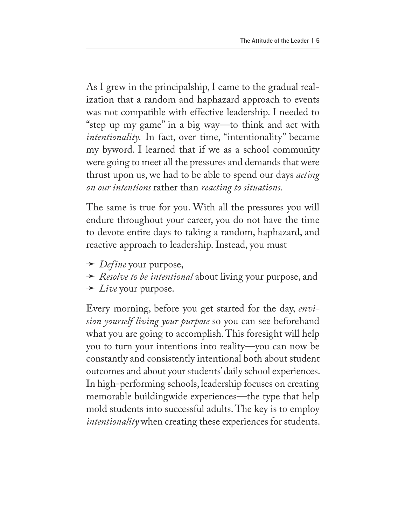As I grew in the principalship, I came to the gradual realization that a random and haphazard approach to events was not compatible with effective leadership. I needed to "step up my game" in a big way—to think and act with *intentionality.* In fact, over time, "intentionality" became my byword. I learned that if we as a school community were going to meet all the pressures and demands that were thrust upon us, we had to be able to spend our days *acting on our intentions* rather than *reacting to situations.*

The same is true for you. With all the pressures you will endure throughout your career, you do not have the time to devote entire days to taking a random, haphazard, and reactive approach to leadership. Instead, you must

- $\rightarrow$  *Define* your purpose,
- ª *Resolve to be intentional* about living your purpose, and
- $\rightarrow$  *Live* your purpose.

Every morning, before you get started for the day, *envision yourself living your purpose* so you can see beforehand what you are going to accomplish. This foresight will help you to turn your intentions into reality—you can now be constantly and consistently intentional both about student outcomes and about your students' daily school experiences. In high-performing schools, leadership focuses on creating memorable buildingwide experiences—the type that help mold students into successful adults. The key is to employ *intentionality* when creating these experiences for students.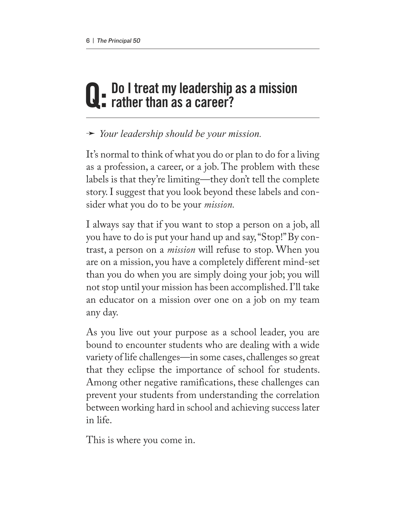# Q: Do I treat my leadership as a mission<br>Q: rather than as a career?

ª *Your leadership should be your mission.* 

It's normal to think of what you do or plan to do for a living as a profession, a career, or a job. The problem with these labels is that they're limiting—they don't tell the complete story. I suggest that you look beyond these labels and consider what you do to be your *mission.*

I always say that if you want to stop a person on a job, all you have to do is put your hand up and say, "Stop!" By contrast, a person on a *mission* will refuse to stop. When you are on a mission, you have a completely different mind-set than you do when you are simply doing your job; you will not stop until your mission has been accomplished. I'll take an educator on a mission over one on a job on my team any day.

As you live out your purpose as a school leader, you are bound to encounter students who are dealing with a wide variety of life challenges—in some cases, challenges so great that they eclipse the importance of school for students. Among other negative ramifications, these challenges can prevent your students from understanding the correlation between working hard in school and achieving success later in life.

This is where you come in.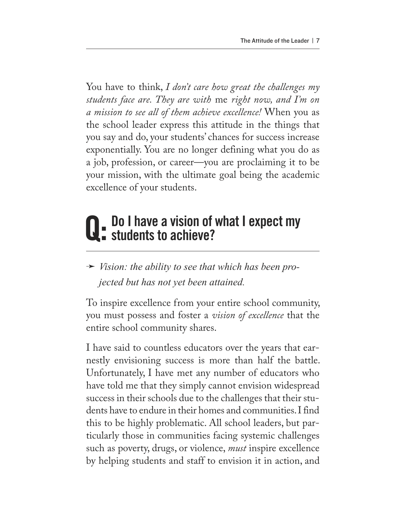You have to think, *I don't care how great the challenges my students face are. They are with* me *right now, and I'm on a mission to see all of them achieve excellence!* When you as the school leader express this attitude in the things that you say and do, your students' chances for success increase exponentially. You are no longer defining what you do as a job, profession, or career—you are proclaiming it to be your mission, with the ultimate goal being the academic excellence of your students.

# Q: Do I have a vision of what I expect my<br>Q: students to achieve?

### **→** *Vision: the ability to see that which has been projected but has not yet been attained.*

To inspire excellence from your entire school community, you must possess and foster a *vision of excellence* that the entire school community shares.

I have said to countless educators over the years that earnestly envisioning success is more than half the battle. Unfortunately, I have met any number of educators who have told me that they simply cannot envision widespread success in their schools due to the challenges that their students have to endure in their homes and communities. I find this to be highly problematic. All school leaders, but particularly those in communities facing systemic challenges such as poverty, drugs, or violence, *must* inspire excellence by helping students and staff to envision it in action, and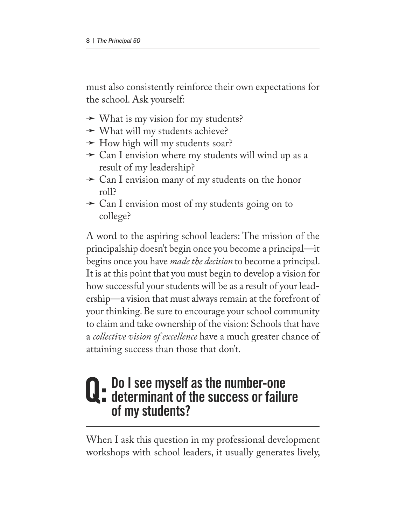must also consistently reinforce their own expectations for the school. Ask yourself:

- $\rightarrow$  What is my vision for my students?
- $\rightarrow$  What will my students achieve?
- $\rightarrow$  How high will my students soar?
- $\rightarrow$  Can I envision where my students will wind up as a result of my leadership?
- $\rightarrow$  Can I envision many of my students on the honor roll?
- $\rightarrow$  Can I envision most of my students going on to college?

A word to the aspiring school leaders: The mission of the principalship doesn't begin once you become a principal—it begins once you have *made the decision* to become a principal. It is at this point that you must begin to develop a vision for how successful your students will be as a result of your leadership—a vision that must always remain at the forefront of your thinking. Be sure to encourage your school community to claim and take ownership of the vision: Schools that have a *collective vision of excellence* have a much greater chance of attaining success than those that don't.

### Q: Do I see myself as the number-one<br>Q: determinant of the success or failure of my students?

When I ask this question in my professional development workshops with school leaders, it usually generates lively,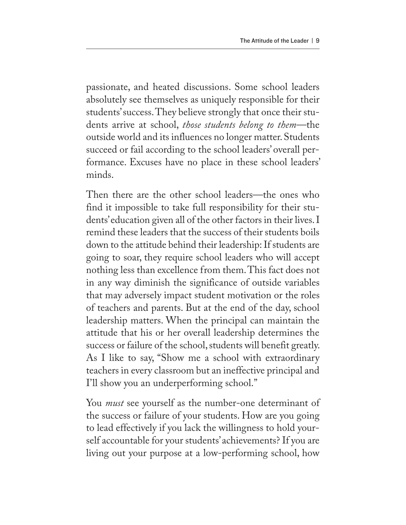passionate, and heated discussions. Some school leaders absolutely see themselves as uniquely responsible for their students' success. They believe strongly that once their students arrive at school, *those students belong to them*—the outside world and its influences no longer matter. Students succeed or fail according to the school leaders' overall performance. Excuses have no place in these school leaders' minds.

Then there are the other school leaders—the ones who find it impossible to take full responsibility for their students' education given all of the other factors in their lives. I remind these leaders that the success of their students boils down to the attitude behind their leadership: If students are going to soar, they require school leaders who will accept nothing less than excellence from them. This fact does not in any way diminish the significance of outside variables that may adversely impact student motivation or the roles of teachers and parents. But at the end of the day, school leadership matters. When the principal can maintain the attitude that his or her overall leadership determines the success or failure of the school, students will benefit greatly. As I like to say, "Show me a school with extraordinary teachers in every classroom but an ineffective principal and I'll show you an underperforming school."

You *must* see yourself as the number-one determinant of the success or failure of your students. How are you going to lead effectively if you lack the willingness to hold yourself accountable for your students' achievements? If you are living out your purpose at a low-performing school, how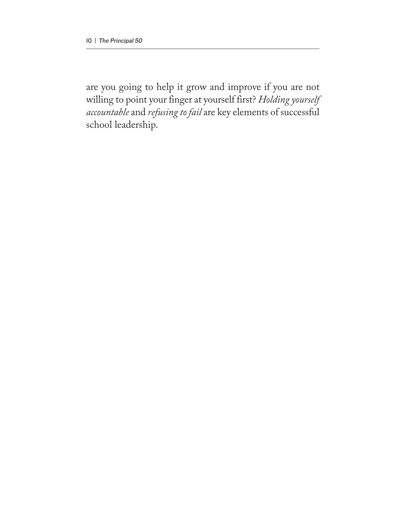are you going to help it grow and improve if you are not willing to point your finger at yourself first? *Holding yourself accountable* and *refusing to fail* are key elements of successful school leadership.